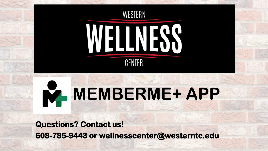

# **MEMBERME+ APP**

**Questions? Contact us! 608-785-9443 or wellnesscenter@westerntc.edu**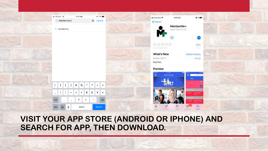#### .Il Verizon LTE 11:15 AM  $-7.71\%$  $0.2$ at Extended 9 9:03 AM  $Q$  Memberme+ **8** Cancel < Search MemberMe+  $Q$  memberme+ Appli That Fil. LLC Œ 참할합합합  $17+$ lan Krimina **What's New Version History** Version 109.7.1 4d ago Bug fixes Preview  $\equiv$ **Metro Sportfit Civit SILLE** }  $%$  $\pmb{\wedge}$  $\mathbf{I}$  $#$  $\ast$  $+$  $=$  $E$  $\frac{1}{2}$ €  $\sim$  $\,<$  $\,>$  $\bullet$  $\ddot{\text{?}}$  $\oslash$ 123  $\Omega$  $\bigodot$ ℚ Search ABC space Search

## **VISIT YOUR APP STORE (ANDROID OR IPHONE) AND SEARCH FOR APP, THEN DOWNLOAD.**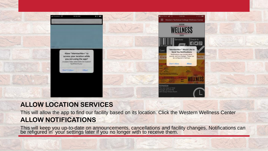

### **ALLOW LOCATION SERVICES**

This will allow the app to find our facility based on its location. Click the Western Wellness Center **ALLOW NOTIFICATIONS**

This will keep you up-to-date on announcements, cancellations and facility changes. Notifications can be refigured in your settings later if you no longer with to receive them.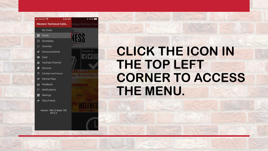

# **CLICK THE ICON IN THE TOP LEFT CORNER TO ACCESS THE MENU.**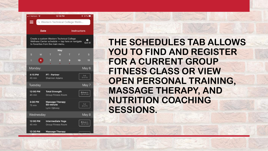

**THE SCHEDULES TAB ALLOWS YOU TO FIND AND REGISTER FOR A CURRENT GROUP FITNESS CLASS OR VIEW OPEN PERSONAL TRAINING, MASSAGE THERAPY, AND NUTRITION COACHING SESSIONS.**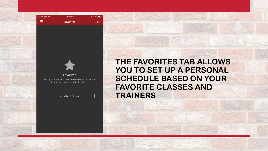



#### **Favorites** Set up a personal schedule based on your favorite

locations, classes, and instructions.

Set up Favorites now

**THE FAVORITES TAB ALLOWS**  YOU TO SET UP A PERSONAL **SCHEDULE BASED ON YOUR FAVORITE CLASSES AND TRAINERS**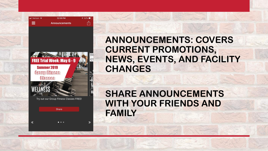| $\blacksquare$ Verizon $\blacktriangleright$ | 12:59 PM             | $\sqrt{52\%}$ |
|----------------------------------------------|----------------------|---------------|
| --<br>–<br>_                                 | <b>Announcements</b> |               |



 $\mathbf{v}$ 

 $\overline{\mathcal{K}}$ 

# **ANNOUNCEMENTS: COVERS CURRENT PROMOTIONS, NEWS, EVENTS, AND FACILITY CHANGES**

**SHARE ANNOUNCEMENTS WITH YOUR FRIENDS AND FAMILY**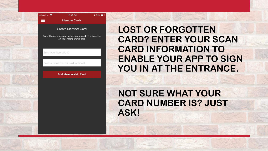#### .Ill Verizon <del>?</del> 12:30 PM **Member Cards**

#### Create Member Card

 $\sqrt{55\%}$ 

Enter the numbers and letters underneath the barcode on your membership card

Enter your barcode ID

 $\equiv$ 

Enter a name for this card (optional)

**Add Membership Card** 

**LOST OR FORGOTTEN CARD? ENTER YOUR SCAN CARD INFORMATION TO ENABLE YOUR APP TO SIGN**  YOU IN AT THE ENTRANCE.

# **NOT SURE WHAT YOUR CARD NUMBER IS? JUST ASK!**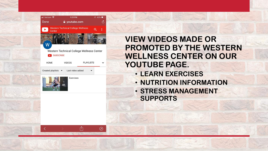| ull Verizon              |                  | 1:21 PM                                   |                  | $943\%$ |
|--------------------------|------------------|-------------------------------------------|------------------|---------|
| Done                     |                  | get youtube.com                           |                  |         |
| Center                   |                  | <b>Western Technical College Wellness</b> |                  | i       |
|                          |                  |                                           |                  |         |
|                          | <b>SUBSCRIBE</b> | Western Technical College Wellness Center |                  |         |
| <b>HOME</b>              |                  | <b>VIDEOS</b>                             | <b>PLAYLISTS</b> |         |
| <b>Created playlists</b> |                  | Last video added                          |                  |         |
|                          |                  | Exercises                                 |                  |         |

rĥ

 $\oslash$ 



**VIEW VIDEOS MADE OR PROMOTED BY THE WESTERN WELLNESS CENTER ON OUR YOUTUBE PAGE.**

- **LEARN EXERCISES**
- **NUTRITION INFORMATION**
- **STRESS MANAGEMENT SUPPORTS**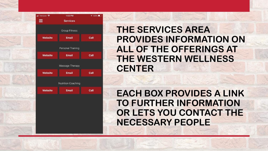

# **THE SERVICES AREA PROVIDES INFORMATION ON ALL OF THE OFFERINGS AT THE WESTERN WELLNESS CENTER**

**EACH BOX PROVIDES A LINK TO FURTHER INFORMATION OR LETS YOU CONTACT THE NECESSARY PEOPLE**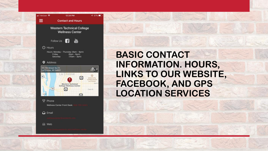

**4 57%** 

த,

Main

 $\circ$ 

# **BASIC CONTACT INFORMATION. HOURS, LINKS TO OUR WEBSITE, FACEBOOK, AND GPS LOCATION SERVICES**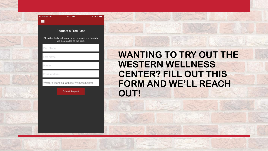

| <b>I</b> Verizon କ   | 6:21 AM                                                                                    | $90\%$ |
|----------------------|--------------------------------------------------------------------------------------------|--------|
| $\equiv$             |                                                                                            |        |
|                      | <b>Request a Free Pass</b>                                                                 |        |
|                      | Fill in the fields below and your request for a free trial<br>will be emailed to the club. |        |
| <b>First Name</b>    |                                                                                            |        |
| Last Name            |                                                                                            |        |
| Phone                |                                                                                            |        |
| <b>Email Address</b> |                                                                                            |        |
|                      | Western Technical College Wellness Center                                                  |        |
|                      |                                                                                            |        |

# **WANTING TO TRY OUT THE WESTERN WELLNESS CENTER? FILL OUT THIS FORM AND WE'LL REACH OUT!**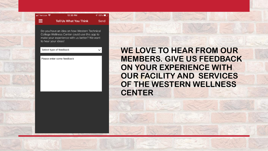#### ull Verizon **오** 12:30 PM  $\equiv$ **Tell Us What You Think**

Do you have an idea on how Western Technical College Wellness Center could use this app to make your experience with us better? We want to hear your ideas!

 $\sqrt{55\%}$ 

Send

 $\checkmark$ 

Select type of feedback

Please enter some feedback

**WE LOVE TO HEAR FROM OUR MEMBERS. GIVE US FEEDBACK ON YOUR EXPERIENCE WITH OUR FACILITY AND SERVICES OF THE WESTERN WELLNESS CENTER**